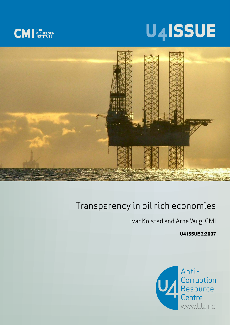

# **U4ISSUE**



# Transparency in oil rich economies

Ivar Kolstad and Arne Wiig, CMI

**U4 ISSUE 2:2007**

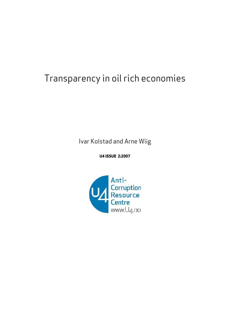# Transparency in oil rich economies

Ivar Kolstad and Arne Wiig

**U4 ISSUE 2:2007** 

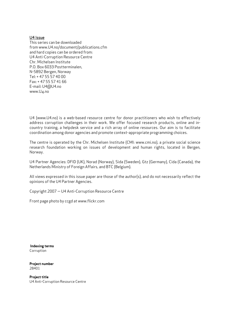#### U4 Issue

This series can be downloaded from www.U4.no/document/publications.cfm and hard copies can be ordered from: U4 Anti-Corruption Resource Centre Chr. Michelsen Institute P.O. Box 6033 Postterminalen, N-5892 Bergen, Norway Tel: + 47 55 57 40 00 Fax: + 47 55 57 41 66 E-mail: U4@U4.no www.U4.no

U4 (www.U4.no) is a web-based resource centre for donor practitioners who wish to effectively address corruption challenges in their work. We offer focused research products, online and incountry training, a helpdesk service and a rich array of online resources. Our aim is to facilitate coordination among donor agencies and promote context-appropriate programming choices.

The centre is operated by the Chr. Michelsen Institute (CMI: www.cmi.no), a private social science research foundation working on issues of development and human rights, located in Bergen, Norway.

U4 Partner Agencies: DFID (UK), Norad (Norway), Sida (Sweden), Gtz (Germany), Cida (Canada), the Netherlands Ministry of Foreign Affairs, and BTC (Belgium).

All views expressed in this issue paper are those of the author(s), and do not necessarily reflect the opinions of the U4 Partner Agencies.

Copyright 2007 — U4 Anti-Corruption Resource Centre

Front page photo by ccgd at www.flickr.com

 **Indexing terms**  Corruption

**Project number**  28401

**Project title**  U4 Anti-Corruption Resource Centre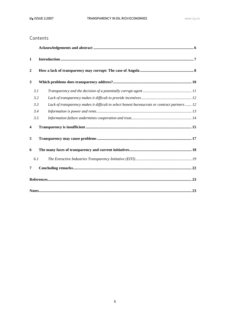#### Contents

| $\mathbf{1}$            |     |                                                                                              |
|-------------------------|-----|----------------------------------------------------------------------------------------------|
| $\boldsymbol{2}$        |     |                                                                                              |
| 3                       |     |                                                                                              |
|                         | 3.1 |                                                                                              |
|                         | 3.2 |                                                                                              |
|                         | 3.3 | Lack of transparency makes it difficult to select honest bureaucrats or contract partners 12 |
|                         | 3.4 |                                                                                              |
|                         | 3.5 |                                                                                              |
| $\overline{\mathbf{4}}$ |     |                                                                                              |
| 5                       |     |                                                                                              |
| 6                       |     |                                                                                              |
|                         | 6.1 |                                                                                              |
| 7                       |     |                                                                                              |
|                         |     |                                                                                              |
|                         |     |                                                                                              |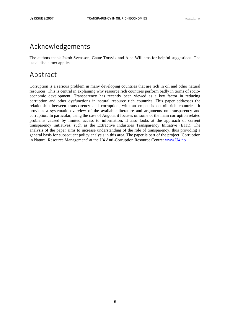# Acknowledgements

The authors thank Jakob Svensson, Gaute Torsvik and Aled Williams for helpful suggestions. The usual disclaimer applies.

## Abstract

Corruption is a serious problem in many developing countries that are rich in oil and other natural resources. This is central in explaining why resource rich countries perform badly in terms of socioeconomic development. Transparency has recently been viewed as a key factor in reducing corruption and other dysfunctions in natural resource rich countries. This paper addresses the relationship between transparency and corruption, with an emphasis on oil rich countries. It provides a systematic overview of the available literature and arguments on transparency and corruption. In particular, using the case of Angola, it focuses on some of the main corruption related problems caused by limited access to information. It also looks at the approach of current transparency initiatives, such as the Extractive Industries Transparency Initiative (EITI). The analysis of the paper aims to increase understanding of the role of transparency, thus providing a general basis for subsequent policy analysis in this area. The paper is part of the project 'Corruption in Natural Resource Management' at the U4 Anti-Corruption Resource Centre: www.U4.no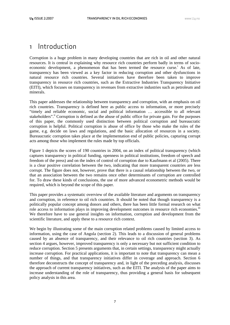### 1 Introduction

Corruption is a huge problem in many developing countries that are rich in oil and other natural resources. It is central in explaining why resource rich countries perform badly in terms of socioeconomic development, a phenomenon that has been termed the resource curse.<sup>i</sup> As of late, transparency has been viewed as a key factor in reducing corruption and other dysfunctions in natural resource rich countries. Several initiatives have therefore been taken to improve transparency in resource rich countries, such as the Extractive Industries Transparency Initiative (EITI), which focuses on transparency in revenues from extractive industries such as petroleum and minerals.

This paper addresses the relationship between transparency and corruption, with an emphasis on oil rich countries. Transparency is defined here as public access to information, or more precisely "timely and reliable economic, social and political information … accessible to all relevant stakeholders".<sup>ii</sup> Corruption is defined as the abuse of public office for private gain. For the purposes of this paper, the commonly used distinction between political corruption and bureaucratic corruption is helpful. Political corruption is abuse of office by those who make the rules of the game, e.g. decide on laws and regulations, and the basic allocation of resources in a society. Bureaucratic corruption takes place at the implementation end of public policies, capturing corrupt acts among those who implement the rules made by top officials.

Figure 1 depicts the scores of 190 countries in 2004, on an index of political transparency (which captures transparency in political funding, openness in political institutions, freedom of speech and freedom of the press) and on the index of control of corruption due to Kaufmann et al (2005). There is a clear positive correlation between the two, indicating that more transparent countries are less corrupt. The figure does not, however, prove that there is a causal relationship between the two, or that an association between the two remains once other determinants of corruption are controlled for. To draw these kinds of conclusions, the use of more advanced econometric methods would be required, which is beyond the scope of this paper.

This paper provides a systematic overview of the available literature and arguments on transparency and corruption, in reference to oil rich countries. It should be noted that though transparency is a politically popular concept among donors and others, there has been little formal research on what role access to information plays in improving development outcomes in resource rich economies.<sup>iii</sup> We therefore have to use general insights on information, corruption and development from the scientific literature, and apply these to a resource rich context.

We begin by illustrating some of the main corruption related problems caused by limited access to information, using the case of Angola (section 2). This leads to a discussion of general problems caused by an absence of transparency, and their relevance to oil rich countries (section 3). As section 4 argues, however, improved transparency is only a necessary but not sufficient condition to reduce corruption. Section 5 presents arguments that, in certain settings, transparency might actually increase corruption. For practical applications, it is important to note that transparency can mean a number of things, and that transparency initiatives differ in coverage and approach. Section 6 therefore deconstructs the concept of transparency and, in light of the preceding analysis, discusses the approach of current transparency initiatives, such as the EITI. The analysis of the paper aims to increase understanding of the role of transparency, thus providing a general basis for subsequent policy analysis in this area.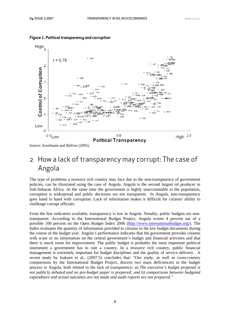

#### *Figure 1. Political transparency and corruption*

Source: Kaufmann and Bellver (2005).

# 2 How a lack of transparency may corrupt: The case of Angola

The type of problems a resource rich country may face due to the non-transparency of government policies, can be illustrated using the case of Angola. Angola is the second largest oil producer in Sub-Saharan Africa. At the same time the government is highly unaccountable to the population, corruption is widespread and public decisions are not transparent. In Angola, non-transparency goes hand in hand with corruption. Lack of information makes it difficult for citizens' ability to challenge corrupt officials.

From the few indicators available, transparency is low in Angola. Notably, public budgets are nontransparent. According to the International Budget Project, Angola scores 4 percent out of a possible 100 percent on the Open Budget Index 2006 (http://www.internationalbudget.org/). The Index evaluates the quantity of information provided to citizens in the key budget documents during the course of the budget year. Angola's performance indicates that the government provides citizens with scant or no information on the central government's budget and financial activities and that there is much room for improvement. The public budget is probably the most important political instrument a government has to rule a country. In a resource rich country, public financial management is extremely important for budget disciplines and the quality of service delivery. A recent study by Isaksen et al., (2007:5) concludes that: "Our study, as well as cross-country comparisons by the International Budget Project, discern two main deficiencies in the budget process in Angola, both related to the lack of transparency: *a) The executive's budget proposal is not publicly debated and no pre-budget paper is prepared; and b) comparisons between budgeted expenditure and actual outcomes are not made and audit reports are not prepared."*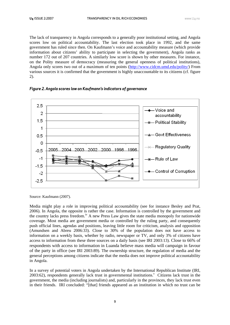The lack of transparency in Angola corresponds to a generally poor institutional setting, and Angola scores low on political accountability. The last election took place in 1992, and the same government has ruled since then. On Kaufmann's voice and accountability measure (which provide information about citizens' ability to participate in selecting the government), Angola ranks as number 172 out of 207 countries. A similarly low score is shown by other measures. For instance, on the Polity measure of democracy (measuring the general openness of political institutions), Angola only scores two out of a maximum of ten points (http://www.cidcm.umd.edu/polity/) From various sources it is confirmed that the government is highly unaccountable to its citizens (cf. figure 2).



*Figure 2. Angola scores low on Kaufmann's indicators of governance* 

Source: Kaufmann (2007).

Media might play a role in improving political accountability (see for instance Besley and Prat, 2006). In Angola, the opposite is rather the case. Information is controlled by the government and the country lacks press freedom.<sup>iv</sup> A new Press Law gives the state media monopoly for nationwide coverage. Most media are government media or controlled by the ruling party, and consequently push official lines, agendas and positions, leaving little room for criticism, analysis and opposition (Amundsen and Abreu 2006:33). Close to 30% of the population does not have access to information on a weekly basis, whether by radio, newspaper or TV, and only 3% of citizens have access to information from these three sources on a daily basis (see IRI 2003:13). Close to 66% of respondents with access to information in Luanda believe mass media will campaign in favour of the party in office (see IRI 2003:89). The ownership structure, the regulation of media and the general perceptions among citizens indicate that the media does not improve political accountability in Angola.

In a survey of potential voters in Angola undertaken by the International Republican Institute (IRI, 2003:62), respondents generally lack trust in governmental institutions.<sup>v</sup> Citizens lack trust in the government, the media (including journalists) and, particularly in the provinces, they lack trust even in their friends. IRI concluded: "[that] friends appeared as an institution in which no trust can be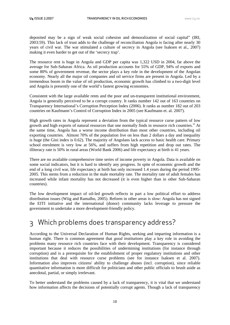deposited may be a sign of weak social cohesion and demoralization of social capital" (IRI, 2003:59). This lack of trust adds to the challenge of reconciliation Angola is facing after nearly 30 years of civil war. The war stimulated a culture of secrecy in Angola (see Isaksen et al., 2007) making it even harder to get out of the 'secrecy trap'.

The resource rent is huge in Angola and GDP per capita was 1,322 USD in 2004, far above the average for Sub-Saharan Africa. As oil production accounts for 55% of GDP, 94% of exports and some 80% of government revenue, the sector plays a key role in the development of the Angolan economy. Nearly all the major oil companies and oil service firms are present in Angola. Led by a tremendous boom in the value of oil production, economic growth has climbed to a two-digit level and Angola is presently one of the world's fastest growing economies.

Consistent with the large available rents and the poor and un-transparent institutional environment, Angola is generally perceived to be a corrupt country. It ranks number 142 out of 163 countries on Transparency International's Corruption Perception Index (2006). It ranks as number 182 out of 203 countries on Kaufmann's Control of Corruption Index in 2005 (see Kaufmann et. al. 2007).

High growth rates in Angola represent a deviation from the typical resource curse pattern of low growth and high exports of natural resources that one normally finds in resource rich countries.<sup>vi</sup> At the same time, Angola has a worse income distribution than most other countries, including oil exporting countries. Almost 70% of the population live on less than 2 dollars a day and inequality is huge (the Gini index is 0.62). The majority of Angolans lack access to basic health care. Primary school enrolment is very low at 56%, and suffers from high repetition and drop out rates. The illiteracy rate is 50% in rural areas (World Bank 2006) and life expectancy at birth is 41 years.

There are no available comprehensive time series of income poverty in Angola. Data is available on some social indicators, but it is hard to identify any progress. In spite of economic growth and the end of a long civil war, life expectancy at birth has only increased 1.4 years during the period 1995- 2005. This stems from a reduction in the male mortality rate. The mortality rate of adult females has increased while infant mortality has not decreased (it is even higher than in other Sub-Saharan countries).

The low development impact of oil-led growth reflects in part a low political effort to address distribution issues (Wiig and Ramalho, 2005). Reform in other areas is slow: Angola has not signed the EITI initiative and the international (donor) community lacks leverage to pressure the government to undertake a more development-friendly policy.

# 3 Which problems does transparency address?

According to the Universal Declaration of Human Rights, seeking and imparting information is a human right. There is common agreement that *good institutions* play a key role in avoiding the problems many resource rich countries face with their development. Transparency is considered important because it reduces the possibilities of undermining institutions (for instance through corruption) and is a prerequisite for the establishment of proper regulatory institutions and other institutions that deal with resource curse problems (see for instance Isaksen et al. 2007). Information also improves citizens' ability to challenge abuses (incl. corruption), since reliable quantitative information is more difficult for politicians and other public officials to brush aside as anecdotal, partial, or simply irrelevant.

To better understand the problems caused by a lack of transparency, it is vital that we understand how information affects the decisions of potentially corrupt agents. Though a lack of transparency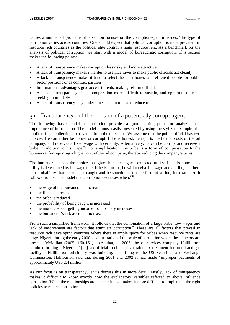causes a number of problems, this section focuses on the corruption-specific issues. The type of corruption varies across countries. One should expect that political corruption is most prevalent in resource rich countries as the political elite control a huge resource rent. As a benchmark for the analysis of political corruption, we start with a model of bureaucratic corruption. This section makes the following points:

- A lack of transparency makes corruption less risky and more attractive
- A lack of transparency makes it harder to use incentives to make public officials act cleanly
- A lack of transparency makes it hard to select the most honest and efficient people for public sector positions or as contract partners
- Informational advantages give access to rents, making reform difficult
- A lack of transparency makes cooperation more difficult to sustain, and opportunistic rentseeking more likely
- A lack of transparency may undermine social norms and reduce trust

#### 3.1 Transparency and the decision of a potentially corrupt agent

The following basic model of corruption provides a good starting point for analyzing the importance of information. The model is most easily presented by using the stylized example of a public official collecting tax revenue from the oil sector. We assume that the public official has two choices. He can either be honest or corrupt. If he is honest, he reports the factual costs of the oil company, and receives a fixed wage with certainty. Alternatively, he can be corrupt and receive a bribe in addition to his wage.<sup>vii</sup> For simplification, the bribe is a form of compensation to the bureaucrat for reporting a higher cost of the oil company, thereby reducing the company's taxes.

The bureaucrat makes the choice that gives him the highest expected utility. If he is honest, his utility is determined by his wage rate. If he is corrupt, he will receive his wage and a bribe, but there is a probability that he will get caught and be sanctioned (in the form of a fine, for example). It follows from such a model that corruption decreases when:<sup>viii</sup>

- the wage of the bureaucrat is increased
- the fine is increased
- the bribe is reduced
- the probability of being caught is increased
- the moral costs of getting income from bribery increases
- the bureaucrat's risk aversion increases

From such a simplified framework, it follows that the combination of a large bribe, low wages and lack of enforcement are factors that stimulate corruption.<sup>ix</sup> These are all factors that prevail in resource rich developing countries where there is ample space for bribes when resource rents are huge. Nigeria during the early 2000's is illustrative of the scale of corruption where these factors are present. McMillan (2005: 160-161) notes that, in 2003, the oil-services company Halliburton admitted bribing a Nigerian "[…] tax official to obtain favourable tax treatment for an oil and gas facility a Halliburton subsidiary was building. In a filing to the US Securities and Exchange Commission, Halliburton said that during 2001 and 2002 it had made "improper payments of approximately US\$ 2.4 million"."

As our focus is on transparency, let us discuss this in more detail. Firstly, lack of transparency makes it difficult to know exactly how the explanatory variables referred to above influence corruption. When the relationships are unclear it also makes it more difficult to implement the right policies to reduce corruption.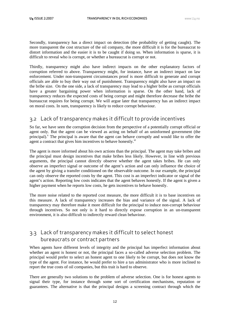Secondly, transparency has a direct impact on detection (the probability of getting caught). The more transparent the cost structure of the oil company, the more difficult it is for the bureaucrat to distort information and the easier it is to be caught if doing so. When information is sparse, it is difficult to reveal who is corrupt, or whether a bureaucrat is corrupt or not.

Thirdly, transparency might also have indirect impacts on the other explanatory factors of corruption referred to above. Transparency might, for instance, have an indirect impact on law enforcement. Under non-transparent circumstances proof is more difficult to generate and corrupt officials are able to buy their way out of punishment. Transparency might also have an impact on the bribe size. On the one side, a lack of transparency may lead to a higher bribe as corrupt officials have a greater bargaining power when information is sparse. On the other hand, lack of transparency reduces the expected costs of being corrupt and might therefore decrease the bribe the bureaucrat requires for being corrupt. We will argue later that transparency has an indirect impact on moral costs. In sum, transparency is likely to reduce corrupt behaviour.

#### 3.2 Lack of transparency makes it difficult to provide incentives

So far, we have seen the corruption decision from the perspective of a potentially corrupt official or agent only. But the agent can be viewed as acting on behalf of an uninformed government (the principal).<sup>x</sup> The principal is aware that the agent can behave corruptly and would like to offer the agent a contract that gives him incentives to behave honestly.<sup>xi</sup>

The agent is more informed about his own actions than the principal. The agent may take bribes and the principal must design incentives that make bribes less likely. However, in line with previous arguments, the principal cannot directly observe whether the agent takes bribes. He can only observe an imperfect signal or outcome of the agent's action and can only influence the choice of the agent by giving a transfer conditioned on the observable outcome. In our example, the principal can only observe the reported costs by the agent. This cost is an imperfect indicator or signal of the agent's action. Reporting low costs indicates that the agent behaves honestly. If the agent is given a higher payment when he reports low costs, he gets incentives to behave honestly.

The more noise related to the reported cost measure, the more difficult it is to base incentives on this measure. A lack of transparency increases the bias and variance of the signal. A lack of transparency may therefore make it more difficult for the principal to induce non-corrupt behaviour through incentives. So not only is it hard to directly expose corruption in an un-transparent environment, it is also difficult to indirectly reward clean behaviour.

#### 3.3 Lack of transparency makes it difficult to select honest bureaucrats or contract partners

When agents have different levels of integrity and the principal has imperfect information about whether an agent is honest or not, the principal faces a so-called adverse selection problem. The principal would prefer to select an honest agent to one likely to be corrupt, but does not know the type of the agent. For instance, he would prefer to hire a tax administrator who is more inclined to report the true costs of oil companies, but this trait is hard to observe.

There are generally two solutions to the problem of adverse selection. One is for honest agents to signal their type, for instance through some sort of certification mechanisms, reputation or guarantees. The alternative is that the principal designs a screening contract through which the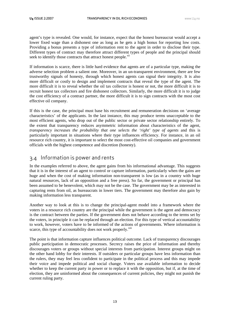agent's type is revealed. One would, for instance, expect that the honest bureaucrat would accept a lower fixed wage than a dishonest one as long as he gets a high bonus for reporting low costs. Providing a bonus presents a type of information rent to the agent in order to disclose their type. Different types of contract may therefore attract different types of people and the principal should seek to identify those contracts that attract honest people.<sup>xii</sup>

If information is scarce, there is little hard evidence that agents are of a particular type, making the adverse selection problem a salient one. Moreover, in an un-transparent environment, there are few trustworthy signals of honesty, through which honest agents can signal their integrity. It is also more difficult or costly to design and implement contracts that reveal the type of the agent. The more difficult it is to reveal whether the oil tax collector is honest or not, the more difficult it is to recruit honest tax collectors and fire dishonest collectors. Similarly, the more difficult it is to judge the cost efficiency of a contract partner, the more difficult it is to sign contracts with the most cost effective oil company.

If this is the case, the principal must base his recruitment and remuneration decisions on 'average characteristics' of the applicants. In the last instance, this may produce terms unacceptable to the most efficient agents, who drop out of the public sector or private sector relationship entirely. To the extent that transparency reduces asymmetric information about characteristics of the agent, *transparency increases the probability that one selects the 'right' type of agents* and this is particularly important in situations where their type influences efficiency. For instance, in an oil resource rich country, it is important to select the most cost-effective oil companies and government officials with the highest competence and discretion (honesty).

#### 3.4 Information is power and rents

In the examples referred to above, the agent gains from his informational advantage. This suggests that it is in the interest of an agent to control or capture information, particularly when the gains are huge and when the cost of making information non-transparent is low (as in a country with huge natural resources, lack of an opposition and a free press). So far, the government or principal has been assumed to be benevolent, which may not be the case. The government may be as interested in capturing rents from oil, as bureaucrats in lower tiers. The government may therefore also gain by making information less transparent.

Another way to look at this is to change the principal-agent model into a framework where the voters in a resource rich country are the principal while the government is the agent and democracy is the contract between the parties. If the government does not behave according to the terms set by the voters, in principle it can be replaced through an election. For this type of vertical accountability to work, however, voters have to be informed of the actions of governments. Where information is scarce, this type of accountability does not work properly.<sup>xiii</sup>

The point is that information capture influences political outcome. Lack of transparency discourages public participation in democratic processes. Secrecy raises the price of information and thereby discourages voters or groups without special interests from participation. Interest groups might on the other hand lobby for their interests. If outsiders or particular groups have less information than the rulers, they may feel less confident to participate in the political process and this may impede their voice and impede political and social change. Voters use available information to decide whether to keep the current party in power or to replace it with the opposition, but if, at the time of election, they are uninformed about the consequences of current policies, they might not punish the current ruling party.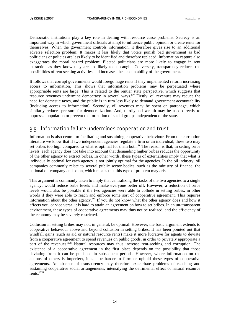Democratic institutions play a key role in dealing with resource curse problems. Secrecy is an important way in which government officials attempt to influence public opinion or create rents for themselves. When the government controls information, it therefore gives rise to an additional adverse selection problem: It makes it less likely that voters punish bad government as bad politicians or policies are less likely to be identified and therefore replaced. Information capture also exaggerates the moral hazard problem: Elected politicians are more likely to engage in rent extraction as they know they are not likely to be caught*.* Conversely, transparency reduces the possibilities of rent seeking activities and increases the accountability of the government.

It follows that corrupt governments would forego huge rents if they implemented reform increasing access to information. This shows that information problems may be perpetuated where appropriable rents are large. This is related to the rentier state perspective, which suggests that resource revenues undermine democracy in several ways.<sup>xiv</sup> Firstly, oil revenues may reduce the need for domestic taxes, and the public is in turn less likely to demand government accountability (including access to information). Secondly, oil revenues may be spent on patronage, which similarly reduces pressure for democratization. And, thirdly, oil wealth may be used directly to oppress a population or prevent the formation of social groups independent of the state.

#### 3.5 Information failure undermines cooperation and trust

Information is also central to facilitating and sustaining cooperative behaviour. From the corruption literature we know that if two independent agencies regulate a firm or an individual, these two may set bribes too high compared to what is optimal for them both.<sup>xv</sup> The reason is that, in setting bribe levels, each agency does not take into account that demanding higher bribes reduces the opportunity of the other agency to extract bribes. In other words, these types of externalities imply that what is individually optimal for each agency is not jointly optimal for the agencies. In the oil industry, oil companies commonly relate to several public sector bodies, such as the ministry of finance, the national oil company and so on, which means that this type of problem may arise.

This argument is commonly taken to imply that centralizing the tasks of the two agencies to a single agency, would reduce bribe levels and make everyone better off. However, a reduction of bribe levels would also be possible if the two agencies were able to collude in setting bribes, in other words if they were able to reach and enforce some sort of cooperative agreement. This requires information about the other agency.<sup>xvi</sup> If you do not know what the other agency does and how it affects you, or vice versa, it is hard to attain an agreement on how to set bribes. In an un-transparent environment, these types of cooperative agreements may thus not be realized, and the efficiency of the economy may be severely restricted.

Collusion in setting bribes may not, in general, be optimal. However, the basic argument extends to cooperative behaviour above and beyond collusion in setting bribes. It has been pointed out that windfall gains (such as aid or natural resource rents) make it more lucrative for agents to deviate from a cooperative agreement to spend revenues on public goods, in order to privately appropriate a part of the revenues.<sup>xvii</sup> Natural resources may thus increase rent-seeking and corruption. The existence of a cooperative agreement in the first place depends on the possibility that those deviating from it can be punished in subsequent periods. However, where information on the actions of others is imperfect, it can be harder to form or uphold these types of cooperative agreements. An absence of transparency may therefore exacerbate problems of reaching and sustaining cooperative social arrangements, intensifying the detrimental effect of natural resource rents.<sup>xviii</sup>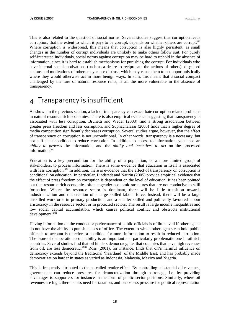This is also related to the question of social norms. Several studies suggest that corruption feeds corruption, that the extent to which it pays to be corrupt, depends on whether others are corrupt.<sup>xix</sup> Where corruption is widespread, this means that corruption is also highly persistent, as small changes in the number of corrupt individuals are unlikely to make others follow suit. For purely self-interested individuals, social norms against corruption may be hard to uphold in the absence of information, since it is hard to establish mechanisms for punishing the corrupt. For individuals who have internal social motivations (such as a desire to reciprocate the actions of others), disguised actions and motivations of others may cause distrust, which may cause them to act opportunistically where they would otherwise act in more benign ways. In sum, this means that a social compact challenged by the lure of natural resource rents, is all the more vulnerable in the absence of transparency.

# 4 Transparency is insufficient

As shown in the previous section, a lack of transparency can exacerbate corruption related problems in natural resource rich economies. There is also empirical evidence suggesting that transparency is associated with less corruption. Brunetti and Weder (2003) find a strong association between greater press freedom and less corruption, and Suphachalasai (2005) finds that a higher degree of media competition significantly decreases corruption. Several studies argue, however, that the effect of transparency on corruption is not unconditional. In other words, transparency is a necessary, but not sufficient condition to reduce corruption. In addition to access to information, you need an *ability to process* the information, and the *ability and incentives to act* on the processed information.<sup>xx</sup>

Education is a key precondition for the ability of a population, or a more limited group of stakeholders, to process information. There is some evidence that education in itself is associated with less corruption.<sup>xxi</sup> In addition, there is evidence that the effect of transparency on corruption is conditional on education. In particular, Lindstedt and Naurin (2005) provide empirical evidence that the effect of press freedom on corruption is dependent on the level of education. It has been pointed out that resource rich economies often engender economic structures that are not conducive to skill formation. Where the resource sector is dominant, there will be little transition towards industrialization and the creation of a large skilled labour force. Instead, there will be a large unskilled workforce in primary production, and a smaller skilled and politically favoured labour aristocracy in the resource sector, or in protected sectors. The result is large income inequalities and low social capital accumulation, which causes political conflict and obstructs institutional development.<sup>xxii</sup>

Having information on the conduct or performance of public officials is of little avail if other agents do not have the ability to punish abuses of office. The extent to which other agents can hold public officials to account is therefore a condition for more information to result in reduced corruption. The issue of democratic accountability is an important and particularly problematic one in oil rich countries. Several studies find that oil hinders democracy, i.e. that countries that have high revenues from oil, are less democratic.<sup>xxiii</sup> Ross (2001), for instance, finds that oil's harmful influence on democracy extends beyond the traditional 'heartland' of the Middle East, and has probably made democratization harder in states as varied as Indonesia, Malaysia, Mexico and Nigeria.

This is frequently attributed to the so-called rentier effect. By controlling substantial oil revenues, governments can reduce pressures for democratization through patronage, i.e. by providing advantages to supporters for instance in the form of public sector positions. Similarly, where oil revenues are high, there is less need for taxation, and hence less pressure for political representation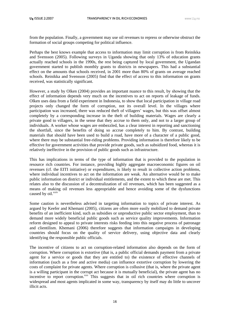from the population. Finally, a government may use oil revenues to repress or otherwise obstruct the formation of social groups competing for political influence.

Perhaps the best knows example that access to information may limit corruption is from Reinikka and Svensson (2005). Following surveys in Uganda showing that only 13% of education grants actually reached schools in the 1990s, the rest being captured by local government, the Ugandan government started to publish monthly grants to districts in newspapers. This had a substantial effect on the amounts that schools received, in 2001 more than 80% of grants on average reached schools. Reinikka and Svensson (2005) find that the effect of access to this information on grants received, was statistically significant.

However, a study by Olken (2004) provides an important nuance to this result, by showing that the effect of information depends very much on the incentives to act on reports of leakage of funds. Olken uses data from a field experiment in Indonesia, to show that local participation in village road projects only changed the form of corruption, not its overall level. In the villages where participation was increased, there was reduced theft of villagers' wages, but this was offset almost completely by a corresponding increase in the theft of building materials. Wages are clearly a private good to villagers, in the sense that they accrue to them only, and not to a larger group of individuals. A worker whose wages are embezzled, has a clear interest in reporting and sanctioning the shortfall, since the benefits of doing so accrue completely to him. By contrast, building materials that should have been used to build a road, have more of a character of a public good, where there may be substantial free-riding problems. Providing information is therefore likely to be effective for government activities that provide private goods, such as subsidized food, whereas it is relatively ineffective in the provision of public goods such as infrastructure.

This has implications in terms of the type of information that is provided to the population in resource rich countries. For instance, providing highly aggregate macroeconomic figures on oil revenues (cf. the EITI initiative) or expenditures, is likely to result in collective action problems, where individual incentives to act on the information are weak. An alternative would be to make public information on district or individual entitlements, and the extent to which these are met. This relates also to the discussion of a decentralization of oil revenues, which has been suggested as a means of making oil revenues less appropriable and hence avoiding some of the dysfunctions caused by oil.<sup>xxiv</sup>

Some caution is nevertheless advised in targeting information to topics of private interest. As argued by Keefer and Khemani (2005), citizens are often more easily mobilized to demand private benefits of an inefficient kind, such as subsidies or unproductive public sector employment, than to demand more widely beneficial public goods such as service quality improvements. Information reform designed to appeal to private interests risks feeding into this negative process of patronage and clientilism. Khemani (2006) therefore suggests that information campaigns in developing countries should focus on the quality of service delivery, using objective data and clearly identifying the responsible public officials.

The incentive of citizens to act on corruption-related information also depends on the form of corruption. Where corruption is extortive (that is, a public official demands payment from a private agent for a service or goods that they are entitled to) the existence of effective channels of information (such as a free and active media) can influence extortive corruption by lowering the costs of complaint for private agents. Where corruption is collusive (that is, where the private agent is a willing participant in the corrupt act because it is mutually beneficial), the private agent has no incentive to report corruption.<sup>xxv</sup> This suggests that in oil rich countries where corruption is widespread and most agents implicated in some way, transparency by itself may do little to uncover illicit acts.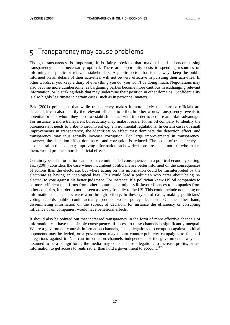## 5 Transparency may cause problems

Though transparency is important, it is fairly obvious that maximal and all-encompassing transparency is not necessarily optimal. There are opportunity costs to spending resources on informing the public or relevant stakeholders. A public sector that is to always keep the public informed on all details of their activities, will not be very effective in pursuing their activities. In other words, if you keep a diary of everything you do, you won't be doing much. Negotiations may also become more cumbersome, as bargaining parties become more cautious in exchanging relevant information, or in striking deals that may undermine their position in other domains. Confidentiality is also highly legitimate in certain cases, such as in personnel matters.

Bak (2001) points out that while transparency makes it more likely that corrupt officials are detected, it can also identify the relevant officials to bribe. In other words, transparency reveals to potential bribers whom they need to establish contact with in order to acquire an unfair advantage. For instance, a more transparent bureaucracy may make it easier for an oil company to identify the bureaucrats it needs to bribe to circumvent e.g. environmental regulations. In certain cases of small improvements in transparency, the identification effect may dominate the detection effect, and transparency may thus actually increase corruption. For large improvements in transparency, however, the detection effect dominates, and corruption is reduced. The scope of transparency is also central in this context; improving information on how decisions are made, not just who makes them, would produce more beneficial effects.

Certain types of information can also have unintended consequences in a political economy setting. Fox (2007) considers the case where incumbent politicians are better informed on the consequences of actions than the electorate, but where acting on this information could be misinterpreted by the electorate as having an ideological bias. This could lead a politician who cares about being reelected, to vote against his better judgment. For instance, if a politician knew US oil companies to be more efficient than firms from other countries, he might still favour licences to companies from other countries, in order to not be seen as overly friendly to the US. This could include not acting on information that licences were won through bribery. In these types of cases, making politicians' voting records public could actually produce worse policy decisions. On the other hand, disseminating information on the subject of decision, for instance the efficiency or corrupting influence of oil companies, would have beneficial effects.

It should also be pointed out that increased transparency in the form of more effective channels of information can have undesirable consequences if access to these channels is significantly unequal. Where a government controls information channels, false allegations of corruption against political opponents may be levied, or a government may mount counter-publicity campaigns to fend off allegations against it. Nor can information channels independent of the government always be assumed to be a benign force, the media may concoct false allegations to increase profits, or use information to get access to rents rather than hold a government to account.<sup>xxvi</sup>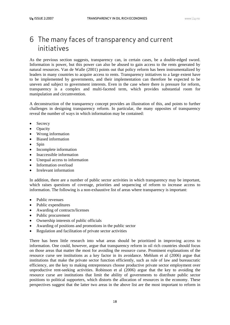# 6 The many faces of transparency and current initiatives

As the previous section suggests, transparency can, in certain cases, be a double-edged sword. Information is power, but this power can also be abused to gain access to the rents generated by natural resources. Van de Walle (2001) points out that policy reform has been instrumentalized by leaders in many countries to acquire access to rents. Transparency initiatives to a large extent have to be implemented by governments, and their implementation can therefore be expected to be uneven and subject to government interests. Even in the case where there is pressure for reform, transparency is a complex and multi-faceted term, which provides substantial room for manipulation and circumvention.

A deconstruction of the transparency concept provides an illustration of this, and points to further challenges in designing transparency reform. In particular, the many opposites of transparency reveal the number of ways in which information may be contained:

- Secrecy
- **Opacity**
- Wrong information
- Biased information
- Spin
- Incomplete information
- Inaccessible information
- Unequal access to information
- Information overload
- Irrelevant information

In addition, there are a number of public sector activities in which transparency may be important, which raises questions of coverage, priorities and sequencing of reform to increase access to information. The following is a non-exhaustive list of areas where transparency is important:

- Public revenues
- Public expenditures
- Awarding of contracts/licenses
- Public procurement
- Ownership interests of public officials
- Awarding of positions and promotions in the public sector
- Regulation and facilitation of private sector activities

There has been little research into what areas should be prioritized in improving access to information. One could, however, argue that transparency reform in oil rich countries should focus on those areas that matter the most for avoiding the resource curse. Prominent explanations of the resource curse see institutions as a key factor in its avoidance. Mehlum et al (2006) argue that institutions that make the private sector function efficiently, such as rule of law and bureaucratic efficiency, are the key to making entrepreneurs choose productive private sector employment over unproductive rent-seeking activities. Robinson et al (2006) argue that the key to avoiding the resource curse are institutions that limit the ability of governments to distribute public sector positions to political supporters, which distorts the allocation of resources in the economy. These perspectives suggest that the latter two areas in the above list are the most important to reform in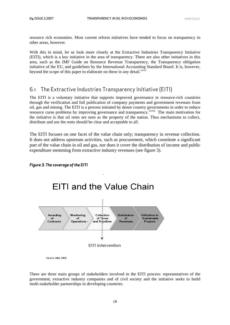resource rich economies. Most current reform initiatives have tended to focus on transparency in other areas, however.

With this in mind, let us look more closely at the Extractive Industries Transparency Initiative (EITI), which is a key initiative in the area of transparency. There are also other initiatives in this area, such as the IMF Guide on Resource Revenue Transparency, the Transparency obligation initiative of the EU, and guidelines by the International Accounting Standard Board. It is, however, beyond the scope of this paper to elaborate on these in any detail.<sup>xxvii</sup>

#### 6.1 The Extractive Industries Transparency Initiative (EITI)

The EITI is a voluntary initiative that supports improved governance in resource-rich countries through the verification and full publication of company payments and government revenues from oil, gas and mining. The EITI is a process initiated by donor country governments in order to reduce resource curse problems by improving governance and transparency.<sup>xxviii</sup> The main motivation for the initiative is that oil rents are seen as the property of the nation. Thus mechanisms to collect, distribute and use the rents should be clear and acceptable to all.

The EITI focuses on one facet of the value chain only; transparency in revenue collection. It does not address upstream activities, such as procurement, which constitute a significant part of the value chain in oil and gas, nor does it cover the distribution of income and public expenditure stemming from extractive industry revenues (see figure 3).



#### *Figure 3. The coverage of the EITI*

Source: Alba 2006

There are three main groups of stakeholders involved in the EITI process: representatives of the government, extractive industry companies and of civil society and the initiative seeks to build multi-stakeholder partnerships in developing countries.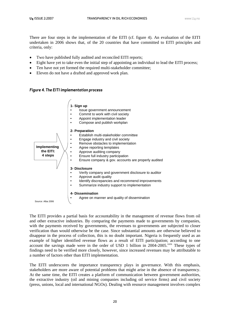There are four steps in the implementation of the EITI (cf. figure 4). An evaluation of the EITI undertaken in 2006 shows that, of the 20 countries that have committed to EITI principles and criteria, only:

- Two have published fully audited and reconciled EITI reports;
- Eight have yet to take even the initial step of appointing an individual to lead the EITI process;
- Ten have not yet formed the required multi-stakeholder committee;
- Eleven do not have a drafted and approved work plan.

#### *Figure 4. The EITI implementation process*



The EITI provides a partial basis for accountability in the management of revenue flows from oil and other extractive industries. By comparing the payments made to governments by companies, with the payments received by governments, the revenues to governments are subjected to closer verification than would otherwise be the case. Since substantial amounts are otherwise believed to disappear in the process of collection, this is no doubt important. Nigeria is frequently used as an example of higher identified revenue flows as a result of EITI participation; according to one account the savings made were in the order of USD 1 billion in 2004-2005.<sup>xxix</sup> These types of findings need to be verified more closely, however, since increased revenues may be attributable to a number of factors other than EITI implementation.

The EITI underscores the importance transparency plays in governance. With this emphasis, stakeholders are more aware of potential problems that might arise in the absence of transparency. At the same time, the EITI creates a platform of communication between government authorities, the extractive industry (oil and mining companies including oil service firms) and civil society (press, unions, local and international NGOs). Dealing with resource management involves complex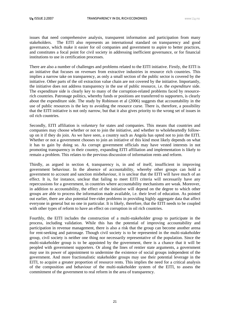issues that need comprehensive analysis, transparent information and participation from many stakeholders. The EITI also represents an international standard on transparency and good governance, which make it easier for oil companies and government to aspire to better practices, and constitutes a focal point for civil society in addressing inefficient governance, or for financial institutions to use in certification processes.

There are also a number of challenges and problems related to the EITI initiative. Firstly, the EITI is an initiative that focuses on *revenues* from extractive industries in resource rich countries. This implies a narrow take on transparency, as only a small section of the public sector is covered by the initiative. Other parts of the oil extraction value chain are not covered by the initiative. Importantly, the initiative does not address transparency in the use of public resource, i.e. the *expenditure* side. The expenditure side is clearly key to many of the corruption-related problems faced by resourcerich countries. Patronage politics, whereby funds or positions are transferred to supporters, is clearly about the expenditure side. The study by Robinson et al (2006) suggests that accountability in the use of public resources is the key to avoiding the resource curse. There is, therefore, a possibility that the EITI initiative is not only narrow, but that it also gives priority to the wrong set of issues in oil rich countries.

Secondly, EITI affiliation is *voluntar*y for states and companies. This means that countries and companies may choose whether or not to join the initiative, and whether to wholeheartedly followup on it if they do join. As we have seen, a country such as Angola has opted not to join the EITI. Whether or not a government chooses to join an initiative of this kind most likely depends on what it has to gain by doing so. As corrupt government officials may have vested interests in not promoting transparency in their country, expanding EITI affiliation and implementation is likely to remain a problem. This relates to the previous discussion of information rents and reform.

Thirdly, as argued in section 4, transparency is, in and of itself, insufficient in improving government behaviour. In the absence of accountability, whereby other groups can hold a government to account and sanction misbehaviour, it is unclear that the EITI will have much of an effect. It is, for instance, unclear that failing to meet EITI criteria will necessarily have any repercussions for a government, in countries where accountability mechanisms are weak. Moreover, in addition to accountability, the effect of the initiative will depend on the degree to which other groups are able to process the information made available, i.e. their level of education. As pointed out earlier, there are also potential free-rider problems in providing highly aggregate data that affect everyone in general but no one in particular. It is likely, therefore, that the EITI needs to be coupled with other types of reform to have an effect on corruption in oil rich countries.

Fourthly, the EITI includes the construction of a multi-stakeholder group to participate in the process, including validation. While this has the potential of improving accountability and participation in revenue management, there is also a risk that the group can become another arena for rent-seeking and patronage. Though civil society is to be represented in the multi-stakeholder group, civil society is neither one thing nor necessarily representative of the population. Since the multi-stakeholder group is to be appointed by the government, there is a chance that it will be peopled with government supporters. Or along the lines of rentier state arguments, a government may use its power of appointment to undermine the existence of social groups independent of the government. And more fractionalistic stakeholder groups may use their potential leverage in the EITI, to acquire a greater proportion of resource rents. This implies the need for a critical analysis of the composition and behaviour of the multi-stakeholder system of the EITI, to assess the commitment of the government to real reform in the area of transparency.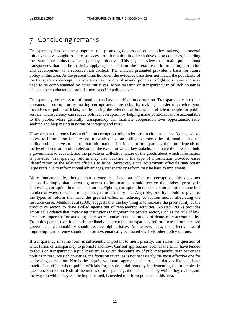# 7 Concluding remarks

Transparency has become a popular concept among donors and other policy makers, and several initiatives have sought to increase access to information in oil rich developing countries, including the Extractive Industries Transparency Initiative. This paper reviews the main points about transparency that can be made by applying insights from the literature on information, corruption and development, to a resource rich context. The analysis presented provides a basis for future policy in this area. At the present time, however, the evidence base does not match the popularity of the transparency concept. Transparency is only one of several policies to fight corruption and may need to be complemented by other initiatives. More research on transparency in oil rich countries needs to be conducted, to provide more specific policy advice.

Transparency, or access to information, can have an effect on corruption. Transparency can reduce bureaucratic corruption by making corrupt acts more risky, by making it easier to provide good incentives to public officials, and by easing the selection of honest and efficient people for public service. Transparency can reduce political corruption by helping make politicians more accountable to the public. More generally, transparency can facilitate cooperation over opportunistic rentseeking and help maintain norms of integrity and trust.

However, transparency has an effect on corruption only under certain circumstances. Agents, whose access to information is increased, must also have an ability to process the information, and the ability and incentives to act on that information. The impact of transparency therefore depends on the level of education of an electorate, the extent to which key stakeholders have the power to hold a government to account, and the private or collective nature of the goods about which information is provided. Transparency reform may also backfire if the type of information provided eases identification of the relevant officials to bribe. Moreover, since government officials may obtain large rents due to informational advantages, transparency reform may be hard to implement.

More fundamentally, though transparency can have an effect on corruption, this does not necessarily imply that increasing access to information should receive the highest priority in addressing corruption in oil rich countries. Fighting corruption in oil rich countries can be done in a number of ways, of which transparency reform is only one. Arguably, priority should be given to the types of reform that have the greatest effect in reducing corruption and/or alleviating the resource curse. Mehlum et al (2006) suggests that the key thing is to increase the profitability of the productive sector, to draw skilled agents out of rent-seeking activities. Kolstad (2007) provides empirical evidence that improving institutions that govern the private sector, such as the rule of law, are more important for avoiding the resource curse than institutions of democratic accountability. From this perspective, it is not immediately apparent that transparency reform focused on increased government accountability should receive high priority. At the very least, the effectiveness of improving transparency should be more systematically evaluated vis-à-vis other policy options.

If transparency in some form is sufficiently important to merit priority, this raises the question of what forms of transparency to promote and how. Current approaches, such as the EITI, have tended to focus on transparency in public revenues. Given the centrality of public expenditure in patronage politics in resource rich countries, the focus on revenues is not necessarily the most effective one for addressing corruption. Nor is the largely voluntary approach of current initiatives likely to have much of an effect where public officials forgo substantial rents by implementing the principles in question. Further analysis of the modes of transparency, the mechanisms by which they matter, and the ways in which they can be implemented, is needed to inform policies in this area.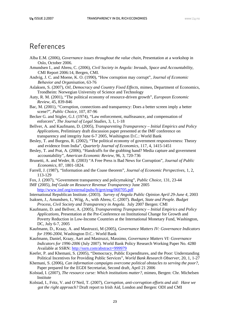### References

- Alba E.M. (2006), *Governance issues throughout the value chain*, Presentation at a workshop in Oslo, October 2006.
- Amundsen I., and Abreu, C. (2006), *Civil Society in Angola: Inroads, Space and Accountability*, CMI Report 2006:14, Bergen, CMI.
- Andvig, J. C. and Moene, K. O. (1990), "How corruption may corrupt", *Journal of Economic Behavior and Organisation*, 63-76
- Aslaksen, S. (2007), *Oil, Democracy and Country Fixed Effects*, mimeo, Department of Economics, Trondheim: Norwegian University of Science and Technology
- Auty, R. M. (2001), "The political economy of resource-driven growth", *European Economic Review*, 45, 839-846
- Bac, M. (2001), "Corruption, connections and transparency: Does a better screen imply a better scene?", *Public Choice*, 107, 87-96
- Becker G. and Stigler, G.J. (1974), "Law enforcement, malfeasance, and compensation of enforcers", *The Journal of Legal Studies*, 3, 1, 1-18
- Bellver, A. and Kaufmann, D. (2005), *Transparenting Transparency Initial Empirics and Policy Applications*, Preliminary draft discussion paper presented at the IMF conference on transparency and integrity June 6-7 2005, Washington D.C.: World Bank
- Besley, T. and Burgess, R. (2002), "The political economy of government responsiveness: Theory and evidence from India", *Quarterly Journal of Economics*, 117, 4, 1415-1451
- Besley, T. and Prat, A. (2006), "Handcuffs for the grabbing hand? Media capture and government accountability", *American Economic Review*, 96, 3, 720-736
- Brunetti, A. and Weder, B. (2003) "A Free Press is Bad News for Corruption", *Journal of Public Economics*, 87, 1801-1824.
- Farrell, J. (1987), "Information and the Coase theorem", *Journal of Economic Perspectives*, 1, 2, 113-129
- Fox, J. (2007), "Government transparency and policymaking", *Public Choice*, 131, 23-44
- IMF (2005), *Imf Guide on Resource Revenue Transparency* June 2005 http://www.imf.org/external/pubs/ft/grrt/eng/060705.pdf
- International Republican Institute. (2003). *Survey of Angola Public Opinion April 29-June 4*, 2003
- Isaksen, J., Amundsen, I., Wiig, A., with Abreu, C. (2007). *Budget, State and People. Budget Process, Civil Society and Transparency in Angola*. July 2007 Bergen: CMI
- Kaufmann, D. and Bellver, A. (2005), *Transparenting Transparency Initial Empirics and Policy Applications*, Presentation at the Pre-Conference on Institutional Change for Growth and Poverty Reduction in Low-Income Countries at the International Monetary Fund, Washington, DC, July 6-7, 2005
- Kaufmann, D., Kraay, A. and Mastruzzi, M (2005), *Governance Matters IV: Governance Indicators for 1996-2004*, Washington D.C.: World Bank
- Kaufmann, Daniel, Kraay, Aart and Mastruzzi, Massimo, *Governance Matters VI: Governance Indicators for 1996-2006* (July 2007). World Bank Policy Research Working Paper No. 4280 Available at SSRN: http://ssrn.com/abstract=999979
- Keefer, P. and Khemani, S. (2005), "Democracy, Public Expenditures, and the Poor: Understanding Political Incentives for Providing Public Services", *World Bank Research Observer*, 20, 1, 1-27
- Khemani, S. (2006), *Can information campaigns overcome political obstacles to serving the poor?*, Paper prepared for the EGDI Secretariat, Second draft, April 21 2006
- Kolstad, I. (2007), *The resource curse: Which institutions matter?*, mimeo, Bergen: Chr. Michelsen Institute
- Kolstad, I., Fritz, V. and O'Neil, T. (2007), *Corruption, anti-corruption efforts and aid: Have we got the right approach?* Draft report to Irish Aid, London and Bergen: ODI and CMI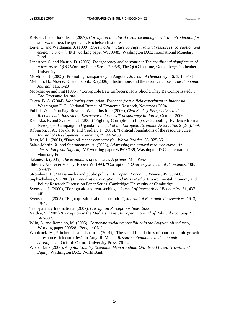- Kolstad, I. and Søreide, T. (2007), *Corruption in natural resource management: an introduction for donors*, mimeo, Bergen: Chr. Michelsen Institute
- Leite, C. and Weidmann, J. (1999), *Does mother nature corrupt? Natural resources, corruption and economic growth*, IMF working paper WP/99/85, Washington D.C.: International Monetary Fund
- Lindstedt, C. and Naurin, D. (2005), *Transparency and corruption: The conditional significance of a free press*, QOG Working Paper Series 2005:5, The QOG Institute, Gothenberg: Gothenberg University
- McMillan, J. (2005) "Promoting transparency in Angola", *Journal of Democracy*, 16, 3, 155-168
- Mehlum, H., Moene, K. and Torvik, R. (2006), "Institutions and the resource curse", *The Economic Journal*, 116, 1-20
- Mookherjee and Png (1995), "Corruptible Law Enforcers: How Should They Be Compensated?", *The Economic Journal*,
- Olken. B. A. (2004), *Monitoring corruption: Evidence from a field experiment in Indonesia*, Washington D.C.: National Bureau of Economic Research, November 2004
- Publish What You Pay, Revenue Watch Institute (2006), *Civil Society Perspectives and Recommendations on the Extractive Industries Transparency Initiative*, October 2006
- Reinikka, R. and Svensoon, J. (2005) 'Fighting Corruption to Improve Schooling: Evidence from a Newspaper Campaign in Uganda', *Journal of the European Economic Association* 2 (2-3): 1-9.
- Robinson, J. A., Torvik, R. and Verdier, T. (2006), "Political foundations of the resource curse", *Journal of Development Economics*, 79, 447-468
- Ross, M. L. (2001), "Does oil hinder democracy?", *World Politics*, 53, 325-361
- Sala-i-Martin, X. and Subramanian, A. (2003), *Addressing the natural resource curse: An illustration from Nigeria*, IMF working paper WP/03/139, Washington D.C.: International Monetary Fund
- Salanié, B. (2005), *The economics of contracts. A primer*, MIT Press
- Shleifer, Andrei & Vishny, Robert W. 1993. "Corruption." *Quarterly Journal of Economics*, 108, 3, 599-617
- Strömberg, D., "Mass media and public policy", *European Economic Review*, 45, 652-663
- Suphachalasai, S. (2005) *Bureaucratic Corruption and Mass Media*. Environmental Economy and Policy Research Discussion Paper Series. Cambridge: University of Cambridge.
- Svensson, J. (2000), "Foreign aid and rent-seeking", *Journal of International Economics*, 51, 437– 461
- Svensson, J. (2005), "Eight questions about corruption", *Journal of Economic Perspectives*, 19, 3, 19-42
- Transparency International (2007), *Corruption Perceptions Index 2006*
- Vaidya, S. (2005) 'Corruption in the Media's Gaze', *European Journal of Political Economy* 21: 667-687.
- Wiig, A. and Ramalho, M. (2005). *Corporate social responsibility in the Angolan oil industry*, Working paper 2005:8, Bergen: CMI
- Woolcock, M., Pritchett, L. and Isham, J. (2001); "The social foundations of poor economic growth in resource-rich countries", in Auty, R. M. ed., *Resource abundance and economic development*, Oxford: Oxford University Press, 76-94
- World Bank (2006). *Angola. Country Economic Memorandum: Oil, Broad Based Growth and Equity*, Washington D.C.: World Bank

−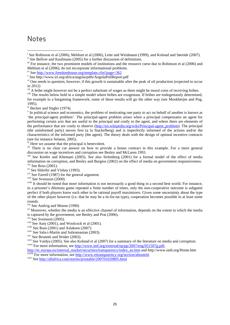# Notes

<sup>viii</sup> The results below hold in a simple model where bribes are exogenous. If bribes are endogenously determined, for example in a bargaining framework, some of these results will go the other way (see Mookherjee and Png, 1995).

<sup>ix</sup> Becker and Stigler (1974).

Here we assume that the principal is benevolent.

xii There is no clear cut answer on how to provide a bonus contract in this example. For a more general discussion on wage incentives and corruption see Besley and McLaren 1993.

xiii See Keefer and Khemani (2005). See also Strömberg (2001) for a formal model of the effect of media information on corruption, and Besley and Burgess (2002) on the effect of media on government responsiveness.

<sup>xviii</sup> It should be noted that more information is not necessarily a good thing in a second best world. For instance, in a prisoner's dilemma game repeated a finite number of times, only the non-cooperative outcome is subgame perfect if both players know each other to be rational payoff maximizers. Given some uncertainty about the type of the other player however (i.e. that he may be a tit-for-tat type), cooperation becomes possible in at least some rounds.<br><sup>xix</sup> See Andvig and Moene (1990)

 $\frac{xx}{x}$  Moreover, whether the media is an effective channel of information, depends on the extent to which the media is captured by the government, see Besley and Prat (2006).<br><sup>xxii</sup> See Svensson (2005).<br><sup>xxii</sup> See Auty (2001), and Woolcock et al (2001).<br><sup>xxiii</sup> See Ross (2001) and Aslaksen (2007).

 $x$ <sup>xxiv</sup> See Sala-i-Martin and Subramanian (2003).<br><sup>xxv</sup> See Brunetti and Weder (2003).

<sup>xxvi</sup> See Vaidya (2005). See also Kolstad et al (2007) for a summary of the literature on media and corruption. xxvii For more information, see http://www.imf.org/external/np/pp/2007/eng/051507g.pdf,

http://ec.europa.eu/internal\_market/securities/transparency/index\_en.htm and http://www.iasb.org/Home.htm <sup>xxviii</sup> For more information, see <u>http://www.eitransparency.org/section/abouteiti</u> xix See http://allafrica.com/stories/printable/200701020805.html

 i See Robinson et al (2006), Mehlum et al (2006), Leite and Weidmann (1999), and Kolstad and Søreide (2007). ii See Bellver and Kaufmann (2005) for a further discussion of definitions.

<sup>&</sup>lt;sup>iii</sup> For instance, the two prominent models of institutions and the resource curse due to Robinson et al (2006) and Mehlum et al (2006), do not incorporate informational problems.

iv See http://www.freedomhouse.org/template.cfm?page=362

See http://www.iri.org/africa/angola/pdfs/AngolaPollReport.pdf

<sup>&</sup>lt;sup>vi</sup> One needs to question, however, if this growth is sustainable after the peak of oil production (expected to occur in 2012)

<sup>&</sup>lt;sup>vii</sup> A bribe might however not be a perfect substitute of wages as there might be moral costs of receiving bribes.

<sup>&</sup>lt;sup>x</sup> In political science and economics, the problem of motivating one party to act on behalf of another is known as 'the principal-agent problem'. The principal-agent problem arises when a principal compensates an agent for performing certain acts that are useful to the principal and costly to the agent, and where there are elements of the performance that are costly to observe (http://en.wikipedia.org/wiki/Principal-agent\_problem). The principal (the uninformed party) moves first (a la Stackelberg) and is imperfectly informed of the actions and/or the characteristics of the informed party (the agent). The theory deals with the design of optimal incentive contracts (see for instance Selanie, 2005).

 $\frac{x}{x}$  See Ross (2001).<br> $\frac{x}{y}$  See Shleifer and Vishny (1993).

xvi See Farrell (1987) for the general argument.

xvii See Svensson (2000).